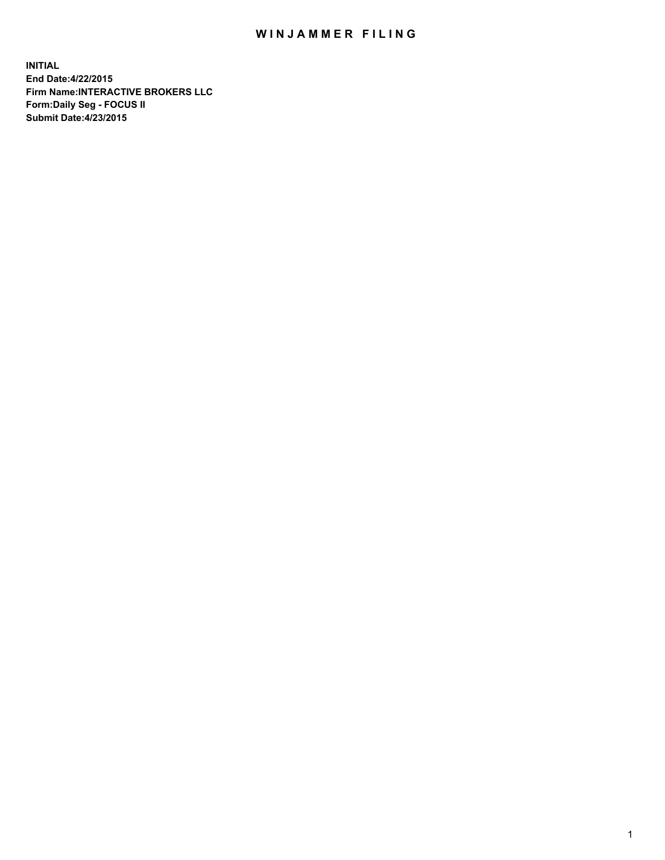## WIN JAMMER FILING

**INITIAL End Date:4/22/2015 Firm Name:INTERACTIVE BROKERS LLC Form:Daily Seg - FOCUS II Submit Date:4/23/2015**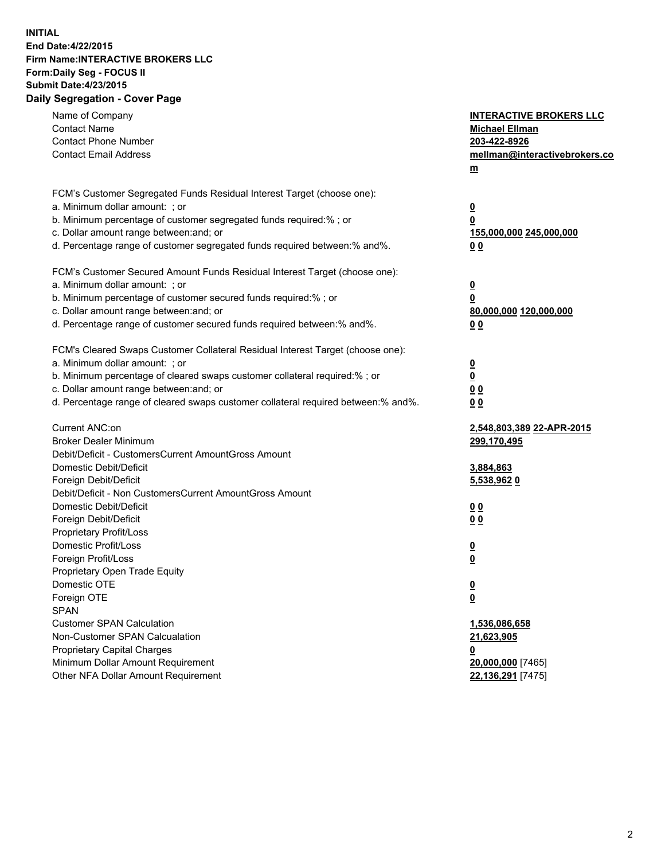## **INITIAL End Date:4/22/2015 Firm Name:INTERACTIVE BROKERS LLC Form:Daily Seg - FOCUS II Submit Date:4/23/2015 Daily Segregation - Cover Page**

| Name of Company<br><b>Contact Name</b><br><b>Contact Phone Number</b><br><b>Contact Email Address</b>                                                                                                                                                                                                                          | <b>INTERACTIVE BROKERS LLC</b><br><b>Michael Ellman</b><br>203-422-8926<br>mellman@interactivebrokers.co<br>$m$ |
|--------------------------------------------------------------------------------------------------------------------------------------------------------------------------------------------------------------------------------------------------------------------------------------------------------------------------------|-----------------------------------------------------------------------------------------------------------------|
| FCM's Customer Segregated Funds Residual Interest Target (choose one):<br>a. Minimum dollar amount: ; or<br>b. Minimum percentage of customer segregated funds required:% ; or<br>c. Dollar amount range between: and; or<br>d. Percentage range of customer segregated funds required between:% and%.                         | $\overline{\mathbf{0}}$<br>0<br>155,000,000 245,000,000<br>0 <sub>0</sub>                                       |
| FCM's Customer Secured Amount Funds Residual Interest Target (choose one):<br>a. Minimum dollar amount: ; or<br>b. Minimum percentage of customer secured funds required:% ; or<br>c. Dollar amount range between: and; or<br>d. Percentage range of customer secured funds required between:% and%.                           | $\overline{\mathbf{0}}$<br>0<br>80,000,000 120,000,000<br>0 <sub>0</sub>                                        |
| FCM's Cleared Swaps Customer Collateral Residual Interest Target (choose one):<br>a. Minimum dollar amount: ; or<br>b. Minimum percentage of cleared swaps customer collateral required:% ; or<br>c. Dollar amount range between: and; or<br>d. Percentage range of cleared swaps customer collateral required between:% and%. | $\overline{\mathbf{0}}$<br>$\underline{\mathbf{0}}$<br>0 <sub>0</sub><br>0 <sub>0</sub>                         |
| Current ANC:on<br><b>Broker Dealer Minimum</b><br>Debit/Deficit - CustomersCurrent AmountGross Amount<br>Domestic Debit/Deficit<br>Foreign Debit/Deficit                                                                                                                                                                       | 2,548,803,389 22-APR-2015<br>299,170,495<br>3,884,863<br>5,538,962 0                                            |
| Debit/Deficit - Non CustomersCurrent AmountGross Amount<br>Domestic Debit/Deficit<br>Foreign Debit/Deficit<br>Proprietary Profit/Loss<br>Domestic Profit/Loss<br>Foreign Profit/Loss                                                                                                                                           | 0 <sub>0</sub><br>0 <sub>0</sub><br>$\overline{\mathbf{0}}$<br>$\overline{\mathbf{0}}$                          |
| Proprietary Open Trade Equity<br>Domestic OTE<br>Foreign OTE<br><b>SPAN</b><br><b>Customer SPAN Calculation</b>                                                                                                                                                                                                                | $\underline{\mathbf{0}}$<br><u>0</u><br>1,536,086,658                                                           |
| Non-Customer SPAN Calcualation<br><b>Proprietary Capital Charges</b><br>Minimum Dollar Amount Requirement<br>Other NFA Dollar Amount Requirement                                                                                                                                                                               | 21,623,905<br><u>0</u><br>20,000,000 [7465]<br>22,136,291 [7475]                                                |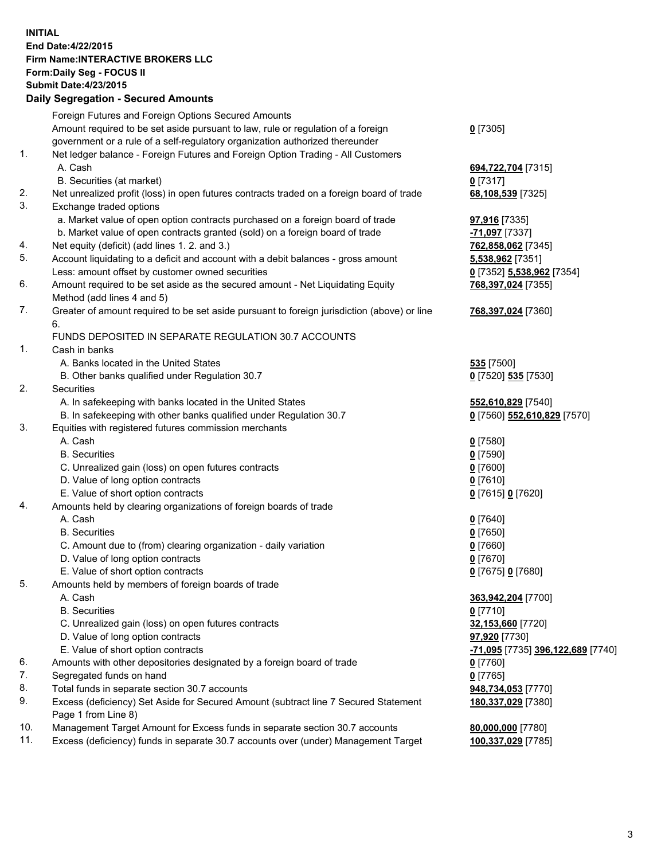## **INITIAL End Date:4/22/2015 Firm Name:INTERACTIVE BROKERS LLC Form:Daily Seg - FOCUS II Submit Date:4/23/2015 Daily Segregation - Secured Amounts**

|     | Foreign Futures and Foreign Options Secured Amounts                                         |                                   |
|-----|---------------------------------------------------------------------------------------------|-----------------------------------|
|     | Amount required to be set aside pursuant to law, rule or regulation of a foreign            | $0$ [7305]                        |
|     | government or a rule of a self-regulatory organization authorized thereunder                |                                   |
| 1.  | Net ledger balance - Foreign Futures and Foreign Option Trading - All Customers             |                                   |
|     | A. Cash                                                                                     | 694,722,704 [7315]                |
|     | B. Securities (at market)                                                                   | $0$ [7317]                        |
| 2.  | Net unrealized profit (loss) in open futures contracts traded on a foreign board of trade   | 68,108,539 [7325]                 |
| 3.  | Exchange traded options                                                                     |                                   |
|     | a. Market value of open option contracts purchased on a foreign board of trade              | 97,916 [7335]                     |
|     | b. Market value of open contracts granted (sold) on a foreign board of trade                | -71,097 [7337]                    |
| 4.  | Net equity (deficit) (add lines 1.2. and 3.)                                                | 762,858,062 [7345]                |
| 5.  | Account liquidating to a deficit and account with a debit balances - gross amount           | 5,538,962 [7351]                  |
|     | Less: amount offset by customer owned securities                                            | 0 [7352] 5,538,962 [7354]         |
| 6.  | Amount required to be set aside as the secured amount - Net Liquidating Equity              | 768,397,024 [7355]                |
|     | Method (add lines 4 and 5)                                                                  |                                   |
| 7.  | Greater of amount required to be set aside pursuant to foreign jurisdiction (above) or line | 768,397,024 [7360]                |
|     | 6.                                                                                          |                                   |
|     | FUNDS DEPOSITED IN SEPARATE REGULATION 30.7 ACCOUNTS                                        |                                   |
| 1.  | Cash in banks                                                                               |                                   |
|     | A. Banks located in the United States                                                       | <b>535</b> [7500]                 |
|     | B. Other banks qualified under Regulation 30.7                                              | 0 [7520] 535 [7530]               |
| 2.  | Securities                                                                                  |                                   |
|     | A. In safekeeping with banks located in the United States                                   | 552,610,829 [7540]                |
|     | B. In safekeeping with other banks qualified under Regulation 30.7                          | 0 [7560] 552,610,829 [7570]       |
| 3.  | Equities with registered futures commission merchants                                       |                                   |
|     | A. Cash                                                                                     | $0$ [7580]                        |
|     | <b>B.</b> Securities                                                                        | $0$ [7590]                        |
|     | C. Unrealized gain (loss) on open futures contracts                                         | $0$ [7600]                        |
|     | D. Value of long option contracts                                                           | $0$ [7610]                        |
|     | E. Value of short option contracts                                                          | 0 [7615] 0 [7620]                 |
| 4.  | Amounts held by clearing organizations of foreign boards of trade                           |                                   |
|     | A. Cash                                                                                     | $0$ [7640]                        |
|     | <b>B.</b> Securities                                                                        | $0$ [7650]                        |
|     | C. Amount due to (from) clearing organization - daily variation                             | $0$ [7660]                        |
|     | D. Value of long option contracts                                                           | $0$ [7670]                        |
|     | E. Value of short option contracts                                                          | 0 [7675] 0 [7680]                 |
| 5.  | Amounts held by members of foreign boards of trade                                          |                                   |
|     | A. Cash                                                                                     | 363,942,204 [7700]                |
|     | <b>B.</b> Securities                                                                        | $0$ [7710]                        |
|     | C. Unrealized gain (loss) on open futures contracts                                         | 32,153,660 [7720]                 |
|     | D. Value of long option contracts                                                           | 97,920 [7730]                     |
|     | E. Value of short option contracts                                                          | -71,095 [7735] 396,122,689 [7740] |
| 6.  | Amounts with other depositories designated by a foreign board of trade                      | $0$ [7760]                        |
| 7.  | Segregated funds on hand                                                                    | $0$ [7765]                        |
| 8.  | Total funds in separate section 30.7 accounts                                               | 948,734,053 [7770]                |
| 9.  | Excess (deficiency) Set Aside for Secured Amount (subtract line 7 Secured Statement         | 180,337,029 [7380]                |
|     | Page 1 from Line 8)                                                                         |                                   |
| 10. | Management Target Amount for Excess funds in separate section 30.7 accounts                 | 80,000,000 [7780]                 |
| 11. | Excess (deficiency) funds in separate 30.7 accounts over (under) Management Target          | 100,337,029 [7785]                |
|     |                                                                                             |                                   |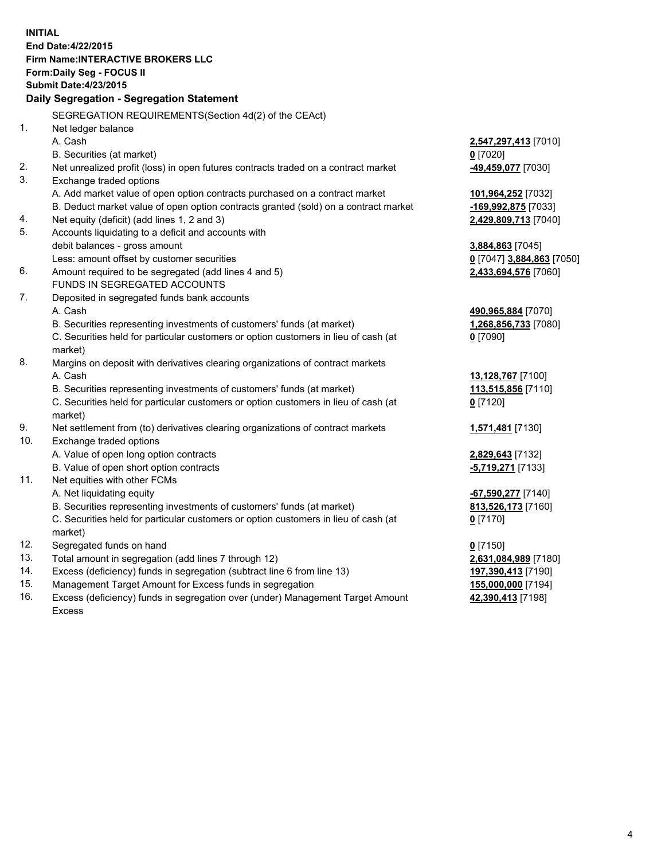**INITIAL End Date:4/22/2015 Firm Name:INTERACTIVE BROKERS LLC Form:Daily Seg - FOCUS II Submit Date:4/23/2015 Daily Segregation - Segregation Statement** SEGREGATION REQUIREMENTS(Section 4d(2) of the CEAct) 1. Net ledger balance A. Cash **2,547,297,413** [7010] B. Securities (at market) **0** [7020] 2. Net unrealized profit (loss) in open futures contracts traded on a contract market **-49,459,077** [7030] 3. Exchange traded options A. Add market value of open option contracts purchased on a contract market **101,964,252** [7032] B. Deduct market value of open option contracts granted (sold) on a contract market **-169,992,875** [7033] 4. Net equity (deficit) (add lines 1, 2 and 3) **2,429,809,713** [7040] 5. Accounts liquidating to a deficit and accounts with debit balances - gross amount **3,884,863** [7045] Less: amount offset by customer securities **0** [7047] **3,884,863** [7050] 6. Amount required to be segregated (add lines 4 and 5) **2,433,694,576** [7060] FUNDS IN SEGREGATED ACCOUNTS 7. Deposited in segregated funds bank accounts A. Cash **490,965,884** [7070] B. Securities representing investments of customers' funds (at market) **1,268,856,733** [7080] C. Securities held for particular customers or option customers in lieu of cash (at market) **0** [7090] 8. Margins on deposit with derivatives clearing organizations of contract markets A. Cash **13,128,767** [7100] B. Securities representing investments of customers' funds (at market) **113,515,856** [7110] C. Securities held for particular customers or option customers in lieu of cash (at market) **0** [7120] 9. Net settlement from (to) derivatives clearing organizations of contract markets **1,571,481** [7130] 10. Exchange traded options A. Value of open long option contracts **2,829,643** [7132] B. Value of open short option contracts **-5,719,271** [7133] 11. Net equities with other FCMs A. Net liquidating equity **-67,590,277** [7140] B. Securities representing investments of customers' funds (at market) **813,526,173** [7160] C. Securities held for particular customers or option customers in lieu of cash (at market) **0** [7170] 12. Segregated funds on hand **0** [7150] 13. Total amount in segregation (add lines 7 through 12) **2,631,084,989** [7180] 14. Excess (deficiency) funds in segregation (subtract line 6 from line 13) **197,390,413** [7190] 15. Management Target Amount for Excess funds in segregation **155,000,000** [7194]

16. Excess (deficiency) funds in segregation over (under) Management Target Amount Excess

**42,390,413** [7198]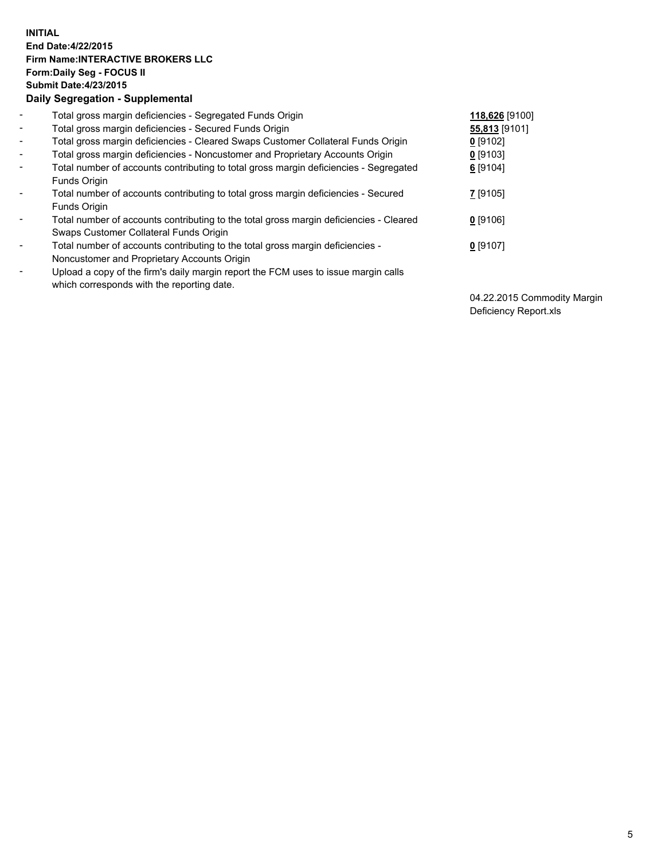## **INITIAL End Date:4/22/2015 Firm Name:INTERACTIVE BROKERS LLC Form:Daily Seg - FOCUS II Submit Date:4/23/2015 Daily Segregation - Supplemental**

| $\blacksquare$           | Total gross margin deficiencies - Segregated Funds Origin                                                                        | 118,626 [9100] |
|--------------------------|----------------------------------------------------------------------------------------------------------------------------------|----------------|
| $\blacksquare$           | Total gross margin deficiencies - Secured Funds Origin                                                                           | 55,813 [9101]  |
| $\blacksquare$           | Total gross margin deficiencies - Cleared Swaps Customer Collateral Funds Origin                                                 | $0$ [9102]     |
| $\blacksquare$           | Total gross margin deficiencies - Noncustomer and Proprietary Accounts Origin                                                    | $0$ [9103]     |
| $\blacksquare$           | Total number of accounts contributing to total gross margin deficiencies - Segregated<br>Funds Origin                            | $6$ [9104]     |
| $\blacksquare$           | Total number of accounts contributing to total gross margin deficiencies - Secured<br><b>Funds Origin</b>                        | 7 [9105]       |
| $\overline{\phantom{a}}$ | Total number of accounts contributing to the total gross margin deficiencies - Cleared<br>Swaps Customer Collateral Funds Origin | $0$ [9106]     |
| -                        | Total number of accounts contributing to the total gross margin deficiencies -<br>Noncustomer and Proprietary Accounts Origin    | $0$ [9107]     |
| $\blacksquare$           | Upload a copy of the firm's daily margin report the FCM uses to issue margin calls<br>which corresponds with the reporting date. |                |

04.22.2015 Commodity Margin Deficiency Report.xls